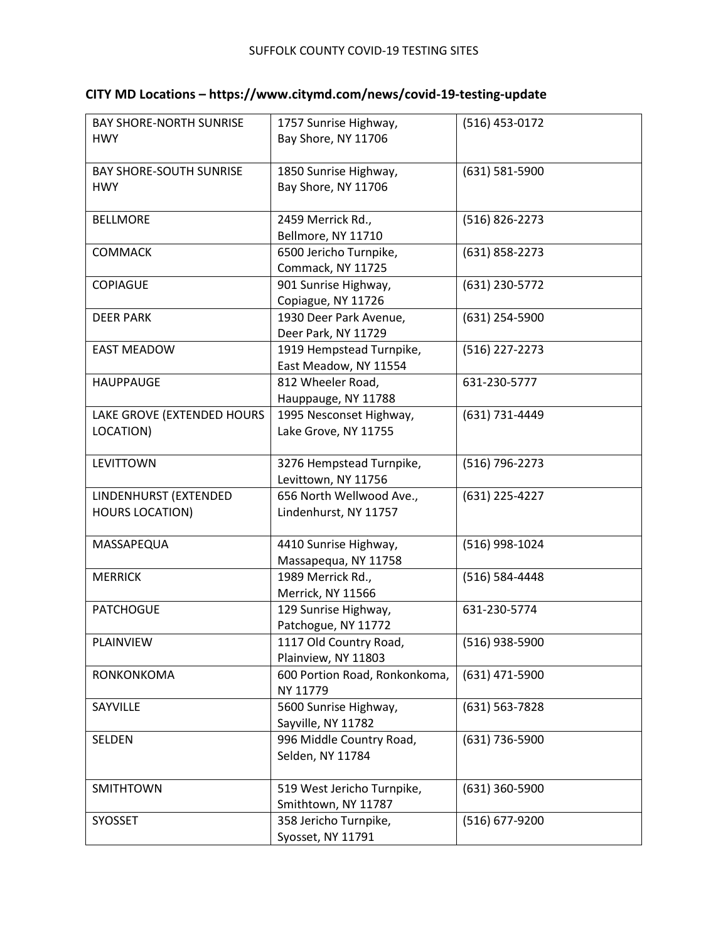| CITY MD Locations - https://www.citymd.com/news/covid-19-testing-update |  |  |  |
|-------------------------------------------------------------------------|--|--|--|
|-------------------------------------------------------------------------|--|--|--|

| <b>BAY SHORE-NORTH SUNRISE</b> | 1757 Sunrise Highway,         | (516) 453-0172 |
|--------------------------------|-------------------------------|----------------|
| <b>HWY</b>                     | Bay Shore, NY 11706           |                |
|                                |                               |                |
| <b>BAY SHORE-SOUTH SUNRISE</b> | 1850 Sunrise Highway,         | (631) 581-5900 |
| <b>HWY</b>                     | Bay Shore, NY 11706           |                |
|                                |                               |                |
| <b>BELLMORE</b>                | 2459 Merrick Rd.,             | (516) 826-2273 |
|                                |                               |                |
|                                | Bellmore, NY 11710            |                |
| <b>COMMACK</b>                 | 6500 Jericho Turnpike,        | (631) 858-2273 |
|                                | Commack, NY 11725             |                |
| <b>COPIAGUE</b>                | 901 Sunrise Highway,          | (631) 230-5772 |
|                                | Copiague, NY 11726            |                |
| <b>DEER PARK</b>               | 1930 Deer Park Avenue,        | (631) 254-5900 |
|                                | Deer Park, NY 11729           |                |
| <b>EAST MEADOW</b>             | 1919 Hempstead Turnpike,      | (516) 227-2273 |
|                                | East Meadow, NY 11554         |                |
| <b>HAUPPAUGE</b>               | 812 Wheeler Road,             | 631-230-5777   |
|                                |                               |                |
|                                | Hauppauge, NY 11788           |                |
| LAKE GROVE (EXTENDED HOURS     | 1995 Nesconset Highway,       | (631) 731-4449 |
| LOCATION)                      | Lake Grove, NY 11755          |                |
|                                |                               |                |
| <b>LEVITTOWN</b>               | 3276 Hempstead Turnpike,      | (516) 796-2273 |
|                                | Levittown, NY 11756           |                |
| LINDENHURST (EXTENDED          | 656 North Wellwood Ave.,      | (631) 225-4227 |
| <b>HOURS LOCATION)</b>         | Lindenhurst, NY 11757         |                |
|                                |                               |                |
| MASSAPEQUA                     | 4410 Sunrise Highway,         | (516) 998-1024 |
|                                | Massapequa, NY 11758          |                |
|                                |                               |                |
| <b>MERRICK</b>                 | 1989 Merrick Rd.,             | (516) 584-4448 |
|                                | Merrick, NY 11566             |                |
| <b>PATCHOGUE</b>               | 129 Sunrise Highway,          | 631-230-5774   |
|                                | Patchogue, NY 11772           |                |
| <b>PLAINVIEW</b>               | 1117 Old Country Road,        | (516) 938-5900 |
|                                | Plainview, NY 11803           |                |
| RONKONKOMA                     | 600 Portion Road, Ronkonkoma, | (631) 471-5900 |
|                                | NY 11779                      |                |
| SAYVILLE                       | 5600 Sunrise Highway,         | (631) 563-7828 |
|                                | Sayville, NY 11782            |                |
| SELDEN                         | 996 Middle Country Road,      | (631) 736-5900 |
|                                |                               |                |
|                                | Selden, NY 11784              |                |
|                                |                               |                |
| <b>SMITHTOWN</b>               | 519 West Jericho Turnpike,    | (631) 360-5900 |
|                                | Smithtown, NY 11787           |                |
| SYOSSET                        | 358 Jericho Turnpike,         | (516) 677-9200 |
|                                | Syosset, NY 11791             |                |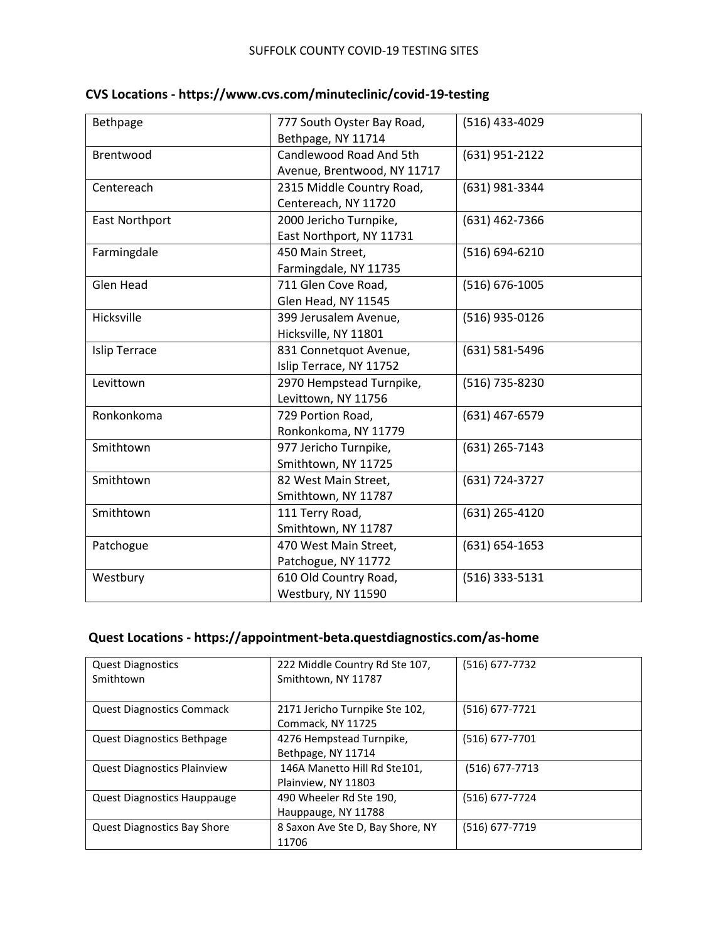| Bethpage             | 777 South Oyster Bay Road,  | (516) 433-4029     |
|----------------------|-----------------------------|--------------------|
|                      | Bethpage, NY 11714          |                    |
| Brentwood            | Candlewood Road And 5th     | (631) 951-2122     |
|                      | Avenue, Brentwood, NY 11717 |                    |
| Centereach           | 2315 Middle Country Road,   | (631) 981-3344     |
|                      | Centereach, NY 11720        |                    |
| East Northport       | 2000 Jericho Turnpike,      | (631) 462-7366     |
|                      | East Northport, NY 11731    |                    |
| Farmingdale          | 450 Main Street,            | (516) 694-6210     |
|                      | Farmingdale, NY 11735       |                    |
| <b>Glen Head</b>     | 711 Glen Cove Road,         | (516) 676-1005     |
|                      | Glen Head, NY 11545         |                    |
| Hicksville           | 399 Jerusalem Avenue,       | (516) 935-0126     |
|                      | Hicksville, NY 11801        |                    |
| <b>Islip Terrace</b> | 831 Connetquot Avenue,      | (631) 581-5496     |
|                      | Islip Terrace, NY 11752     |                    |
| Levittown            | 2970 Hempstead Turnpike,    | (516) 735-8230     |
|                      | Levittown, NY 11756         |                    |
| Ronkonkoma           | 729 Portion Road,           | (631) 467-6579     |
|                      | Ronkonkoma, NY 11779        |                    |
| Smithtown            | 977 Jericho Turnpike,       | (631) 265-7143     |
|                      | Smithtown, NY 11725         |                    |
| Smithtown            | 82 West Main Street,        | (631) 724-3727     |
|                      | Smithtown, NY 11787         |                    |
| Smithtown            | 111 Terry Road,             | (631) 265-4120     |
|                      | Smithtown, NY 11787         |                    |
| Patchogue            | 470 West Main Street,       | $(631) 654 - 1653$ |
|                      | Patchogue, NY 11772         |                    |
| Westbury             | 610 Old Country Road,       | $(516)$ 333-5131   |
|                      | Westbury, NY 11590          |                    |

|  | CVS Locations - https://www.cvs.com/minuteclinic/covid-19-testing |  |
|--|-------------------------------------------------------------------|--|
|--|-------------------------------------------------------------------|--|

# **Quest Locations - https://appointment-beta.questdiagnostics.com/as-home**

| <b>Quest Diagnostics</b><br>Smithtown | 222 Middle Country Rd Ste 107,<br>Smithtown, NY 11787 | (516) 677-7732   |
|---------------------------------------|-------------------------------------------------------|------------------|
| <b>Quest Diagnostics Commack</b>      | 2171 Jericho Turnpike Ste 102,<br>Commack, NY 11725   | (516) 677-7721   |
| Quest Diagnostics Bethpage            | 4276 Hempstead Turnpike,<br>Bethpage, NY 11714        | (516) 677-7701   |
| <b>Quest Diagnostics Plainview</b>    | 146A Manetto Hill Rd Ste101,<br>Plainview, NY 11803   | $(516)$ 677-7713 |
| Quest Diagnostics Hauppauge           | 490 Wheeler Rd Ste 190,<br>Hauppauge, NY 11788        | (516) 677-7724   |
| <b>Quest Diagnostics Bay Shore</b>    | 8 Saxon Ave Ste D, Bay Shore, NY<br>11706             | (516) 677-7719   |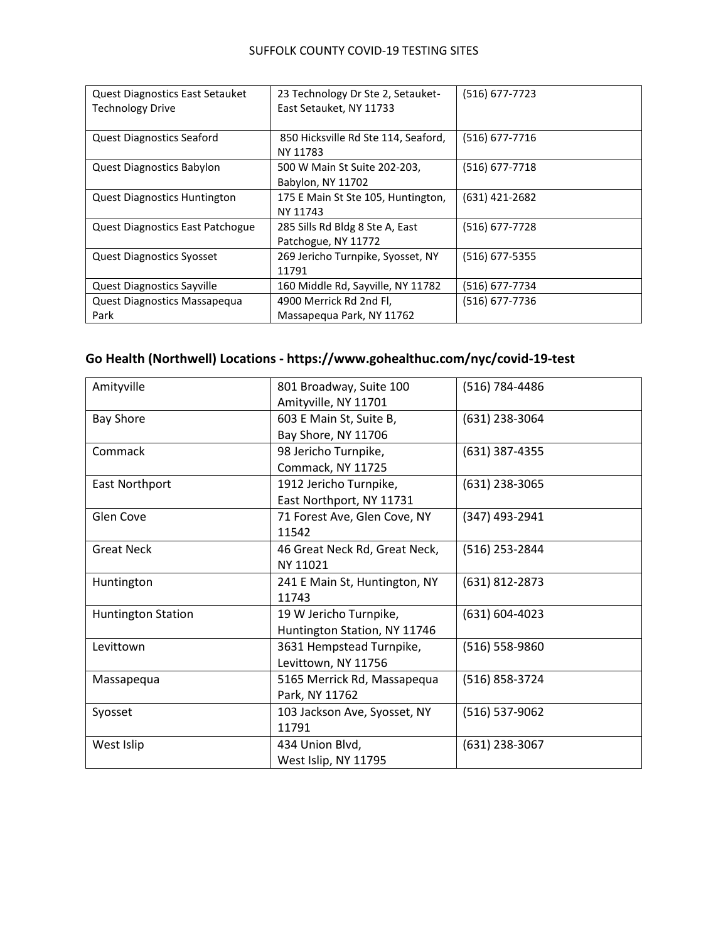#### SUFFOLK COUNTY COVID-19 TESTING SITES

| <b>Quest Diagnostics East Setauket</b><br><b>Technology Drive</b> | 23 Technology Dr Ste 2, Setauket-<br>East Setauket, NY 11733 | (516) 677-7723   |
|-------------------------------------------------------------------|--------------------------------------------------------------|------------------|
| <b>Quest Diagnostics Seaford</b>                                  | 850 Hicksville Rd Ste 114, Seaford,<br>NY 11783              | $(516)$ 677-7716 |
| <b>Quest Diagnostics Babylon</b>                                  | 500 W Main St Suite 202-203,<br>Babylon, NY 11702            | (516) 677-7718   |
| <b>Quest Diagnostics Huntington</b>                               | 175 E Main St Ste 105, Huntington,<br>NY 11743               | (631) 421-2682   |
| <b>Quest Diagnostics East Patchogue</b>                           | 285 Sills Rd Bldg 8 Ste A, East<br>Patchogue, NY 11772       | (516) 677-7728   |
| <b>Quest Diagnostics Syosset</b>                                  | 269 Jericho Turnpike, Syosset, NY<br>11791                   | $(516)$ 677-5355 |
| <b>Quest Diagnostics Sayville</b>                                 | 160 Middle Rd, Sayville, NY 11782                            | (516) 677-7734   |
| Quest Diagnostics Massapequa<br>Park                              | 4900 Merrick Rd 2nd Fl,<br>Massapegua Park, NY 11762         | (516) 677-7736   |

## **Go Health (Northwell) Locations - https://www.gohealthuc.com/nyc/covid-19-test**

| Amityville                | 801 Broadway, Suite 100       | (516) 784-4486 |
|---------------------------|-------------------------------|----------------|
|                           | Amityville, NY 11701          |                |
| <b>Bay Shore</b>          | 603 E Main St, Suite B,       | (631) 238-3064 |
|                           | Bay Shore, NY 11706           |                |
| Commack                   | 98 Jericho Turnpike,          | (631) 387-4355 |
|                           | Commack, NY 11725             |                |
| East Northport            | 1912 Jericho Turnpike,        | (631) 238-3065 |
|                           | East Northport, NY 11731      |                |
| Glen Cove                 | 71 Forest Ave, Glen Cove, NY  | (347) 493-2941 |
|                           | 11542                         |                |
| <b>Great Neck</b>         | 46 Great Neck Rd, Great Neck, | (516) 253-2844 |
|                           | NY 11021                      |                |
| Huntington                | 241 E Main St, Huntington, NY | (631) 812-2873 |
|                           | 11743                         |                |
| <b>Huntington Station</b> | 19 W Jericho Turnpike,        | (631) 604-4023 |
|                           | Huntington Station, NY 11746  |                |
| Levittown                 | 3631 Hempstead Turnpike,      | (516) 558-9860 |
|                           | Levittown, NY 11756           |                |
| Massapequa                | 5165 Merrick Rd, Massapequa   | (516) 858-3724 |
|                           | Park, NY 11762                |                |
| Syosset                   | 103 Jackson Ave, Syosset, NY  | (516) 537-9062 |
|                           | 11791                         |                |
| West Islip                | 434 Union Blvd,               | (631) 238-3067 |
|                           | West Islip, NY 11795          |                |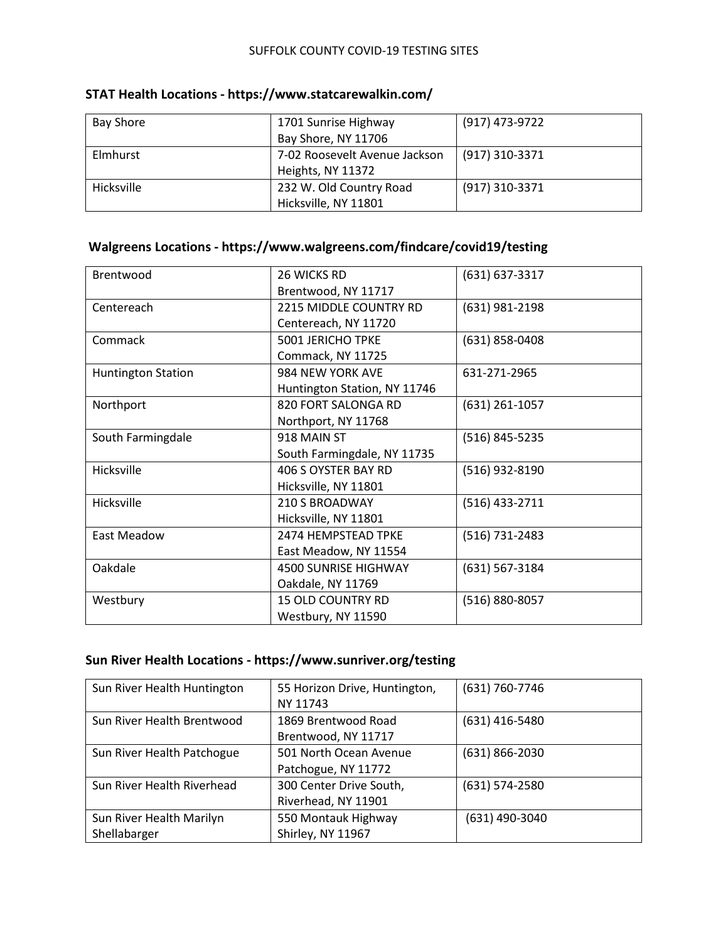| <b>Bay Shore</b> | 1701 Sunrise Highway          | (917) 473-9722 |
|------------------|-------------------------------|----------------|
|                  | Bay Shore, NY 11706           |                |
| Elmhurst         | 7-02 Roosevelt Avenue Jackson | (917) 310-3371 |
|                  | Heights, NY 11372             |                |
| Hicksville       | 232 W. Old Country Road       | (917) 310-3371 |
|                  | Hicksville, NY 11801          |                |

## **STAT Health Locations - https://www.statcarewalkin.com/**

## **Walgreens Locations - https://www.walgreens.com/findcare/covid19/testing**

| 26 WICKS RD                  | (631) 637-3317   |
|------------------------------|------------------|
| Brentwood, NY 11717          |                  |
| 2215 MIDDLE COUNTRY RD       | (631) 981-2198   |
| Centereach, NY 11720         |                  |
| <b>5001 JERICHO TPKE</b>     | (631) 858-0408   |
| Commack, NY 11725            |                  |
| 984 NEW YORK AVE             | 631-271-2965     |
| Huntington Station, NY 11746 |                  |
| 820 FORT SALONGA RD          | $(631)$ 261-1057 |
| Northport, NY 11768          |                  |
| 918 MAIN ST                  | (516) 845-5235   |
| South Farmingdale, NY 11735  |                  |
| 406 S OYSTER BAY RD          | (516) 932-8190   |
| Hicksville, NY 11801         |                  |
| 210 S BROADWAY               | (516) 433-2711   |
| Hicksville, NY 11801         |                  |
| 2474 HEMPSTEAD TPKE          | (516) 731-2483   |
| East Meadow, NY 11554        |                  |
| <b>4500 SUNRISE HIGHWAY</b>  | (631) 567-3184   |
| Oakdale, NY 11769            |                  |
| <b>15 OLD COUNTRY RD</b>     | (516) 880-8057   |
| Westbury, NY 11590           |                  |
|                              |                  |

### **Sun River Health Locations - https://www.sunriver.org/testing**

| Sun River Health Huntington | 55 Horizon Drive, Huntington, | (631) 760-7746     |
|-----------------------------|-------------------------------|--------------------|
|                             | NY 11743                      |                    |
| Sun River Health Brentwood  | 1869 Brentwood Road           | $(631)$ 416-5480   |
|                             | Brentwood, NY 11717           |                    |
| Sun River Health Patchogue  | 501 North Ocean Avenue        | $(631) 866 - 2030$ |
|                             | Patchogue, NY 11772           |                    |
| Sun River Health Riverhead  | 300 Center Drive South,       | $(631) 574 - 2580$ |
|                             | Riverhead, NY 11901           |                    |
| Sun River Health Marilyn    | 550 Montauk Highway           | (631) 490-3040     |
| Shellabarger                | Shirley, NY 11967             |                    |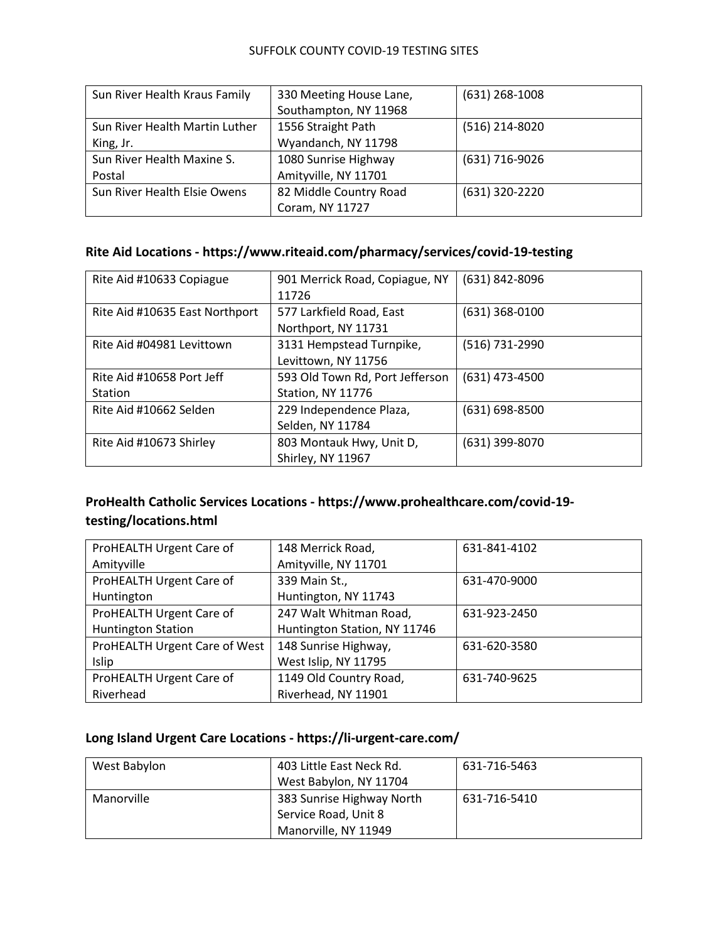#### SUFFOLK COUNTY COVID-19 TESTING SITES

| Sun River Health Kraus Family  | 330 Meeting House Lane, | $(631)$ 268-1008 |
|--------------------------------|-------------------------|------------------|
|                                | Southampton, NY 11968   |                  |
| Sun River Health Martin Luther | 1556 Straight Path      | (516) 214-8020   |
| King, Jr.                      | Wyandanch, NY 11798     |                  |
| Sun River Health Maxine S.     | 1080 Sunrise Highway    | (631) 716-9026   |
| Postal                         | Amityville, NY 11701    |                  |
| Sun River Health Elsie Owens   | 82 Middle Country Road  | (631) 320-2220   |
|                                | Coram, NY 11727         |                  |

## **Rite Aid Locations - https://www.riteaid.com/pharmacy/services/covid-19-testing**

| Rite Aid #10633 Copiague       | 901 Merrick Road, Copiague, NY  | (631) 842-8096   |
|--------------------------------|---------------------------------|------------------|
|                                | 11726                           |                  |
| Rite Aid #10635 East Northport | 577 Larkfield Road, East        | $(631)$ 368-0100 |
|                                | Northport, NY 11731             |                  |
| Rite Aid #04981 Levittown      | 3131 Hempstead Turnpike,        | (516) 731-2990   |
|                                | Levittown, NY 11756             |                  |
| Rite Aid #10658 Port Jeff      | 593 Old Town Rd, Port Jefferson | (631) 473-4500   |
| <b>Station</b>                 | Station, NY 11776               |                  |
| Rite Aid #10662 Selden         | 229 Independence Plaza,         | (631) 698-8500   |
|                                | Selden, NY 11784                |                  |
| Rite Aid #10673 Shirley        | 803 Montauk Hwy, Unit D,        | (631) 399-8070   |
|                                | Shirley, NY 11967               |                  |

## **ProHealth Catholic Services Locations - https://www.prohealthcare.com/covid-19 testing/locations.html**

| ProHEALTH Urgent Care of      | 148 Merrick Road,            | 631-841-4102 |
|-------------------------------|------------------------------|--------------|
| Amityville                    | Amityville, NY 11701         |              |
| ProHEALTH Urgent Care of      | 339 Main St.,                | 631-470-9000 |
| Huntington                    | Huntington, NY 11743         |              |
| ProHEALTH Urgent Care of      | 247 Walt Whitman Road,       | 631-923-2450 |
| <b>Huntington Station</b>     | Huntington Station, NY 11746 |              |
| ProHEALTH Urgent Care of West | 148 Sunrise Highway,         | 631-620-3580 |
| Islip                         | West Islip, NY 11795         |              |
| ProHEALTH Urgent Care of      | 1149 Old Country Road,       | 631-740-9625 |
| Riverhead                     | Riverhead, NY 11901          |              |

## **Long Island Urgent Care Locations - https://li-urgent-care.com/**

| West Babylon | 403 Little East Neck Rd.  | 631-716-5463 |
|--------------|---------------------------|--------------|
|              | West Babylon, NY 11704    |              |
| Manorville   | 383 Sunrise Highway North | 631-716-5410 |
|              | Service Road, Unit 8      |              |
|              | Manorville, NY 11949      |              |